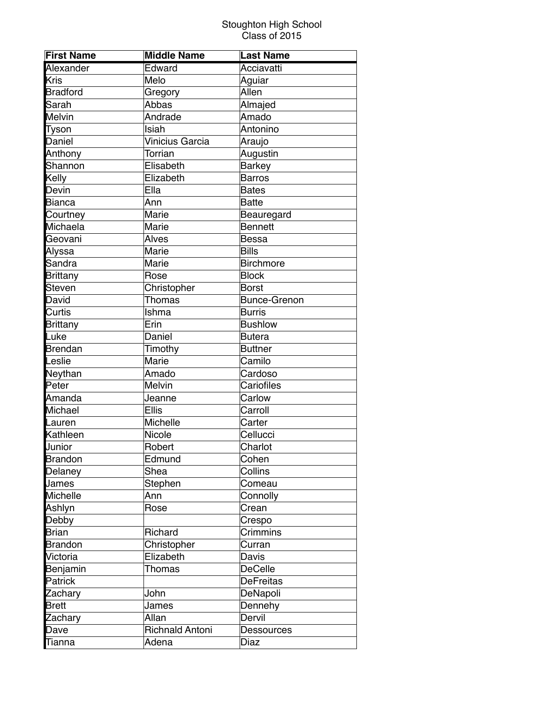| <b>First Name</b> | <b>Middle Name</b>     | <b>Last Name</b>    |
|-------------------|------------------------|---------------------|
| Alexander         | Edward                 | Acciavatti          |
| <b>Kris</b>       | Melo                   | Aguiar              |
| <b>Bradford</b>   | Gregory                | Allen               |
| Sarah             | Abbas                  | Almajed             |
| <b>Melvin</b>     | Andrade                | Amado               |
| Tyson             | Isiah                  | Antonino            |
| Daniel            | Vinicius Garcia        | Araujo              |
| Anthony           | <b>Torrian</b>         | Augustin            |
| Shannon           | Elisabeth              | <b>Barkey</b>       |
| Kelly             | Elizabeth              | <b>Barros</b>       |
| Devin             | Ella                   | <b>Bates</b>        |
| <b>Bianca</b>     | Ānn                    | <b>Batte</b>        |
| Courtney          | Marie                  | Beauregard          |
| Michaela          | Marie                  | <b>Bennett</b>      |
| Geovani           | Alves                  | <b>Bessa</b>        |
| Alyssa            | Marie                  | <b>Bills</b>        |
| Sandra            | Marie                  | <b>Birchmore</b>    |
| <b>Brittany</b>   | Rose                   | <b>Block</b>        |
| <b>Steven</b>     | Christopher            | <b>Borst</b>        |
| David             | <b>Thomas</b>          | <b>Bunce-Grenon</b> |
| Curtis            | Ishma                  | <b>Burris</b>       |
| <b>Brittany</b>   | Erin                   | <b>Bushlow</b>      |
| Luke              | Daniel                 | <b>Butera</b>       |
| <b>Brendan</b>    | Timothy                | <b>Buttner</b>      |
| Leslie            | Marie                  | Camilo              |
| Neythan           | Amado                  | Cardoso             |
| Peter             | Melvin                 | Cariofiles          |
| Amanda            | Jeanne                 | Carlow              |
| Michael           | <b>Ellis</b>           | Carroll             |
| Lauren            | Michelle               | Carter              |
| Kathleen          | Nicole                 | Cellucci            |
| Junior            | Robert                 | Charlot             |
| <b>Brandon</b>    | Edmund                 | Cohen               |
| Delaney           | Shea                   | Collins             |
| James             | Stephen                | Comeau              |
| <b>Michelle</b>   | Ann                    | Connolly            |
| Ashlyn            | Rose                   | Crean               |
| Debby             |                        | Crespo              |
| <b>Brian</b>      | Richard                | Crimmins            |
| <b>Brandon</b>    | Christopher            | Curran              |
| Victoria          | Elizabeth              | Davis               |
| Benjamin          | Thomas                 | <b>DeCelle</b>      |
| Patrick           |                        | <b>DeFreitas</b>    |
| Zachary           | John                   | DeNapoli            |
| <b>Brett</b>      | James                  | Dennehy             |
| Zachary           | Allan                  | Dervil              |
| Dave              | <b>Richnald Antoni</b> | <b>Dessources</b>   |
| Tianna            | Adena                  | Diaz                |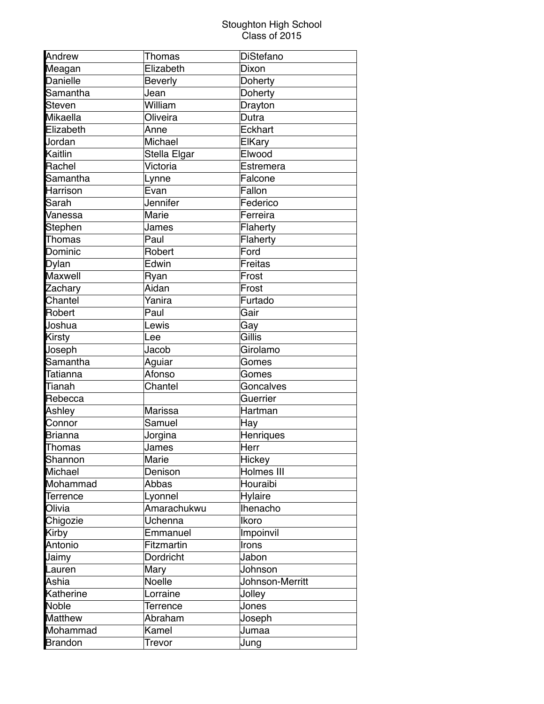| Andrew          | <b>Thomas</b>  | DiStefano       |
|-----------------|----------------|-----------------|
| Meagan          | Elizabeth      | Dixon           |
| <b>Danielle</b> | <b>Beverly</b> | <b>Doherty</b>  |
| Samantha        | Jean           | <b>Doherty</b>  |
| <b>Steven</b>   | William        | Drayton         |
| Mikaella        | Oliveira       | Dutra           |
| Elizabeth       | Anne           | Eckhart         |
| Jordan          | Michael        | ElKary          |
| Kaitlin         | Stella Elgar   | Elwood          |
| Rachel          | Victoria       | Estremera       |
| Samantha        | Lynne          | Falcone         |
| <b>Harrison</b> | Evan           | Fallon          |
| Sarah           | Jennifer       | Federico        |
| Vanessa         | Marie          | Ferreira        |
| <b>Stephen</b>  | James          | Flaherty        |
| Thomas          | Paul           | Flaherty        |
| Dominic         | Robert         | Ford            |
| <b>Dylan</b>    | Edwin          | <b>Freitas</b>  |
| <b>Maxwell</b>  | Ryan           | Frost           |
| Zachary         | Aidan          | Frost           |
| Chantel         | Yanira         | Furtado         |
| <b>Robert</b>   | Paul           | Gair            |
| Joshua          | Lewis          | Gay             |
| Kirsty          | Lee            | Gillis          |
| Joseph          | Jacob          | Girolamo        |
| Samantha        | Aguiar         | Gomes           |
| <b>Tatianna</b> | Afonso         | Gomes           |
| Tianah          | Chantel        | Goncalves       |
| Rebecca         |                | Guerrier        |
| Ashley          | Marissa        | Hartman         |
| Connor          | Samuel         | Hay             |
| <b>Brianna</b>  | Jorgina        | Henriques       |
| <b>Thomas</b>   | James          | Herr            |
| Shannon         | Marie          | Hickey          |
| <b>Michael</b>  | Denison        | Holmes III      |
| Mohammad        | Abbas          | Houraibi        |
| <b>Terrence</b> | Lyonnel        | Hylaire         |
| Olivia          | Amarachukwu    | Ihenacho        |
| Chigozie        | Uchenna        | Ikoro           |
| <b>Kirby</b>    | Emmanuel       | Impoinvil       |
| Antonio         | Fitzmartin     | Irons           |
| Jaimy           | Dordricht      | Jabon           |
| Lauren          | Mary           | Johnson         |
| Ashia           | Noelle         | Johnson-Merritt |
| Katherine       | Lorraine       | Jolley          |
| <b>Noble</b>    | Terrence       | Jones           |
| <b>Matthew</b>  | Abraham        | Joseph          |
| Mohammad        | Kamel          | Jumaa           |
| <b>Brandon</b>  | Trevor         | Jung            |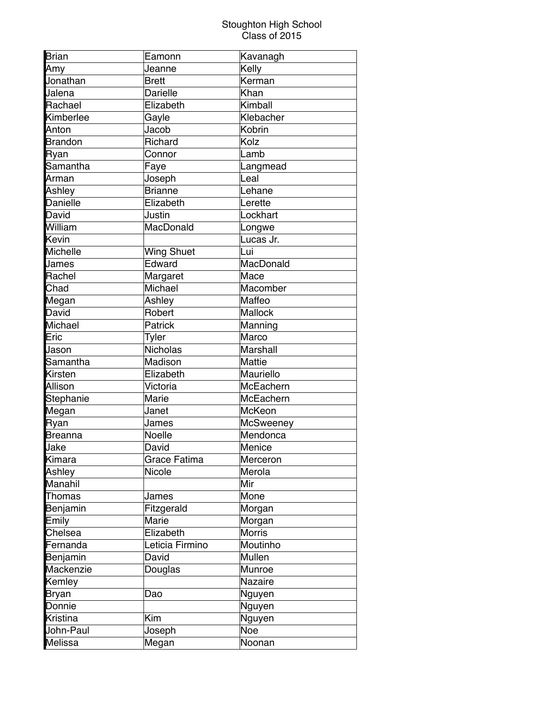| <b>Brian</b>    | Eamonn            | Kavanagh        |
|-----------------|-------------------|-----------------|
| Amy             | Jeanne            | Kelly           |
| Jonathan        | <b>Brett</b>      | Kerman          |
| Jalena          | Darielle          | Khan            |
| Rachael         | Elizabeth         | Kimball         |
| Kimberlee       | Gayle             | Klebacher       |
| Anton           | Jacob             | Kobrin          |
| <b>Brandon</b>  | Richard           | Kolz            |
| <b>Ryan</b>     | Connor            | Lamb            |
| Samantha        | Faye              | Langmead        |
| Arman           | Joseph            | Leal            |
| Ashley          | <b>Brianne</b>    | Lehane          |
| <b>Danielle</b> | Elizabeth         | Lerette         |
| David           | Justin            | Lockhart        |
| William         | MacDonald         | Longwe          |
| Kevin           |                   | Lucas Jr.       |
| <b>Michelle</b> | <b>Wing Shuet</b> | Lui             |
| <b>James</b>    | Edward            | MacDonald       |
| Rachel          | Margaret          | Mace            |
| Chad            | Michael           | Macomber        |
| Megan           | Ashley            | Maffeo          |
| David           | Robert            | Mallock         |
| Michael         | Patrick           | Manning         |
| Eric            | Tyler             | Marco           |
| Jason           | Nicholas          | <b>Marshall</b> |
| Samantha        | Madison           | <b>Mattie</b>   |
| <b>Kirsten</b>  | Elizabeth         | Mauriello       |
| Allison         | Victoria          | McEachern       |
| Stephanie       | Marie             | McEachern       |
| Megan           | Janet             | McKeon          |
| <b>Ryan</b>     | James             | McSweeney       |
| <b>Breanna</b>  | <b>Noelle</b>     | Mendonca        |
| <b>Jake</b>     | David             | Menice          |
| Kimara          | Grace Fatima      | Merceron        |
| Ashley          | Nicole            | Merola          |
| <b>Manahil</b>  |                   | Mir             |
| <b>Thomas</b>   | James             | Mone            |
| Benjamin        | Fitzgerald        | Morgan          |
| Emily           | Marie             | Morgan          |
| Chelsea         | Elizabeth         | <b>Morris</b>   |
| Fernanda        | Leticia Firmino   | Moutinho        |
| Benjamin        | David             | Mullen          |
| Mackenzie       | Douglas           | Munroe          |
| Kemley          |                   | Nazaire         |
| <b>Bryan</b>    | Dao               | Nguyen          |
| Donnie          |                   | Nguyen          |
| <b>Kristina</b> | Kim               | Nguyen          |
| John-Paul       | Joseph            | Noe             |
| <b>Melissa</b>  | Megan             | Noonan          |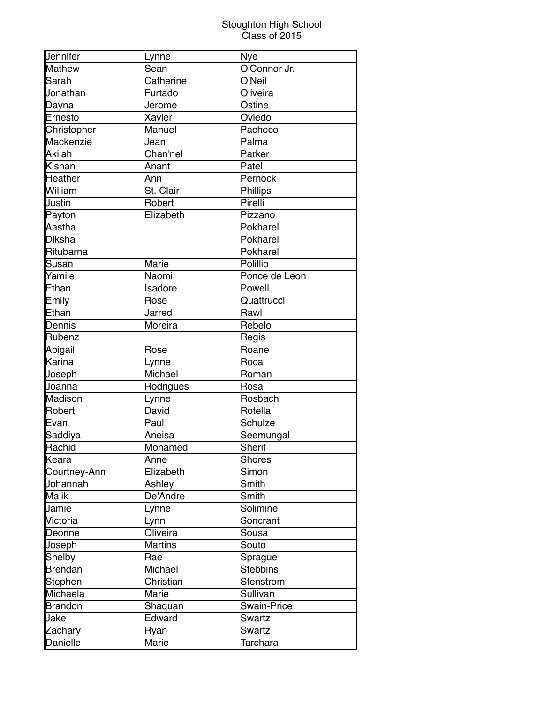| Jennifer        | Lynne          | Nye                |
|-----------------|----------------|--------------------|
| <b>Mathew</b>   | Sean           | O'Connor Jr.       |
| Sarah           | Catherine      | O'Neil             |
| Jonathan        | Furtado        | Oliveira           |
| Dayna           | Jerome         | Ostine             |
| Ernesto         | Xavier         | Oviedo             |
| Christopher     | Manuel         | Pacheco            |
| Mackenzie       | Jean           | Palma              |
| Akilah          | Chan'nel       | Parker             |
| Kishan          | Anant          | Patel              |
| <b>Heather</b>  | Ann            | Pernock            |
| William         | St. Clair      | Phillips           |
| Justin          | Robert         | Pirelli            |
| Payton          | Elizabeth      | Pizzano            |
| Aastha          |                | Pokharel           |
| <b>Diksha</b>   |                | Pokharel           |
| Ritubarna       |                | Pokharel           |
| Susan           | Marie          | Polillio           |
| Yamile          | Naomi          | Ponce de Leon      |
| Ethan           | Isadore        | Powell             |
| Emily           | Rose           | Quattrucci         |
| Ethan           | Jarred         | Rawl               |
| Dennis          | Moreira        | Rebelo             |
| Rubenz          |                | Regis              |
| Abigail         | Rose           | Roane              |
| Karina          | Lynne          | Roca               |
| Joseph          | Michael        | Roman              |
| Joanna          | Rodrigues      | Rosa               |
| <b>Madison</b>  | Lynne          | Rosbach            |
| <b>Robert</b>   | David          | Rotella            |
| Evan            | Paul           | Schulze            |
| Saddiya         | Aneisa         | Seemungal          |
| Rachid          | Mohamed        | <b>Sherif</b>      |
| Keara           | Anne           | <b>Shores</b>      |
| Courtney-Ann    | Elizabeth      | Simon              |
| Johannah        | Ashley         | Smith              |
| <b>Malik</b>    | De'Andre       | Smith              |
| Jamie           | Lynne          | Solimine           |
| Victoria        | Lynn           | Soncrant           |
| Deonne          | Oliveira       | Sousa              |
| Joseph          | <b>Martins</b> | Souto              |
| Shelby          | Rae            | Sprague            |
| <b>Brendan</b>  | Michael        | <b>Stebbins</b>    |
| <b>Stephen</b>  | Christian      | Stenstrom          |
| Michaela        | Marie          | Sullivan           |
| <b>Brandon</b>  | Shaquan        | <b>Swain-Price</b> |
| Jake            | Edward         | Swartz             |
| Zachary         | Ryan           | <b>Swartz</b>      |
| <b>Danielle</b> | Marie          | Tarchara           |